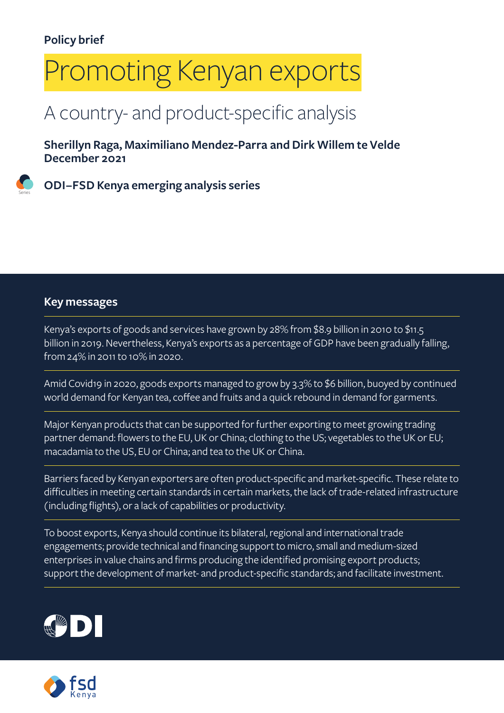# Promoting Kenyan exports

### A country- and product-specific analysis

**Sherillyn Raga, Maximiliano Mendez-Parra and Dirk Willem te Velde December 2021**

**ODI–FSD Kenya emerging analysis series**

#### **Key messages**

Series

Kenya's exports of goods and services have grown by 28% from \$8.9 billion in 2010 to \$11.5 billion in 2019. Nevertheless, Kenya's exports as a percentage of GDP have been gradually falling, from 24% in 2011 to 10% in 2020.

Amid Covid19 in 2020, goods exports managed to grow by 3.3% to \$6 billion, buoyed by continued world demand for Kenyan tea, coffee and fruits and a quick rebound in demand for garments.

Major Kenyan products that can be supported for further exporting to meet growing trading partner demand: flowers to the EU, UK or China; clothing to the US; vegetables to the UK or EU; macadamia to the US, EU or China; and tea to the UK or China.

Barriers faced by Kenyan exporters are often product-specific and market-specific. These relate to difficulties in meeting certain standards in certain markets, the lack of trade-related infrastructure (including flights), or a lack of capabilities or productivity.

To boost exports, Kenya should continue its bilateral, regional and international trade engagements; provide technical and financing support to micro, small and medium-sized enterprises in value chains and firms producing the identified promising export products; support the development of market- and product-specific standards; and facilitate investment.



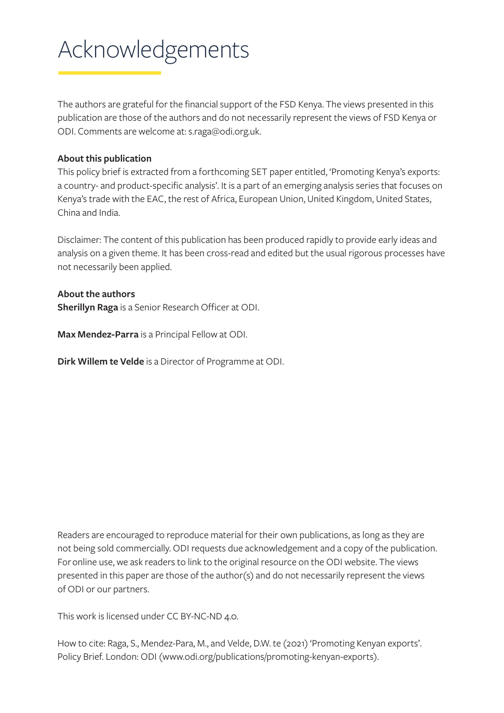## Acknowledgements

The authors are grateful for the financial support of the FSD Kenya. The views presented in this publication are those of the authors and do not necessarily represent the views of FSD Kenya or ODI. Comments are welcome at: [s.raga@odi.org.uk.](mailto:s.raga@odi.org.uk)

#### **About this publication**

This policy brief is extracted from a forthcoming SET paper entitled, 'Promoting Kenya's exports: a country- and product-specific analysis'. It is a part of an emerging analysis series that focuses on Kenya's trade with the EAC, the rest of Africa, European Union, United Kingdom, United States, China and India.

Disclaimer: The content of this publication has been produced rapidly to provide early ideas and analysis on a given theme. It has been cross-read and edited but the usual rigorous processes have not necessarily been applied.

#### **About the authors**

**Sherillyn Raga** is a Senior Research Officer at ODI.

**Max Mendez-Parra** is a Principal Fellow at ODI.

**Dirk Willem te Velde** is a Director of Programme at ODI.

Readers are encouraged to reproduce material for their own publications, as long as they are not being sold commercially. ODI requests due acknowledgement and a copy of the publication. For online use, we ask readers to link to the original resource on the ODI website. The views presented in this paper are those of the author(s) and do not necessarily represent the views of ODI or our partners.

This work is licensed under CC BY-NC-ND 4.0.

How to cite: Raga, S., Mendez-Para, M., and Velde, D.W. te (2021) 'Promoting Kenyan exports'. Policy Brief. London: ODI (www.odi.org/publications/promoting-kenyan-exports).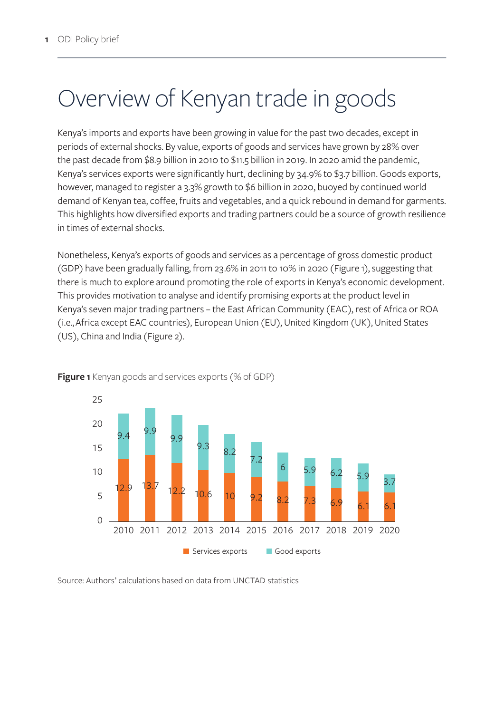### Overview of Kenyan trade in goods

Kenya's imports and exports have been growing in value for the past two decades, except in periods of external shocks. By value, exports of goods and services have grown by 28% over the past decade from \$8.9 billion in 2010 to \$11.5 billion in 2019. In 2020 amid the pandemic, Kenya's services exports were significantly hurt, declining by 34.9% to \$3.7 billion. Goods exports, however, managed to register a 3.3% growth to \$6 billion in 2020, buoyed by continued world demand of Kenyan tea, coffee, fruits and vegetables, and a quick rebound in demand for garments. This highlights how diversified exports and trading partners could be a source of growth resilience in times of external shocks.

Nonetheless, Kenya's exports of goods and services as a percentage of gross domestic product (GDP) have been gradually falling, from 23.6% in 2011 to 10% in 2020 (Figure 1), suggesting that there is much to explore around promoting the role of exports in Kenya's economic development. This provides motivation to analyse and identify promising exports at the product level in Kenya's seven major trading partners – the East African Community (EAC), rest of Africa or ROA (i.e., Africa except EAC countries), European Union (EU), United Kingdom (UK), United States (US), China and India (Figure 2).



**Figure 1** Kenyan goods and services exports (% of GDP)

Source: Authors' calculations based on data from UNCTAD statistics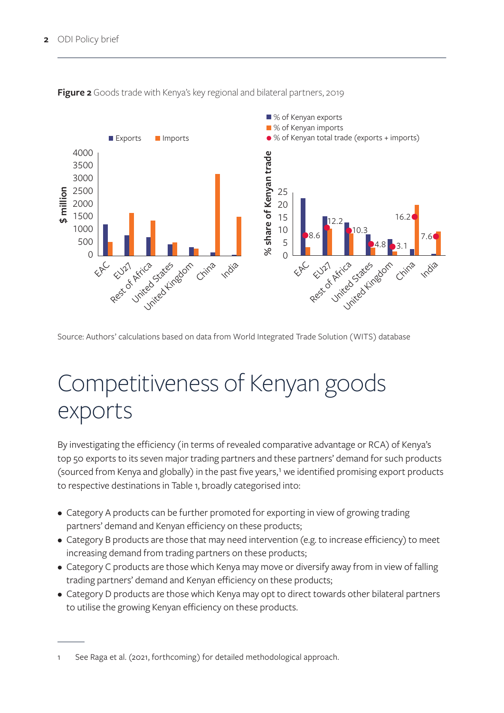

**Figure 2** Goods trade with Kenya's key regional and bilateral partners, 2019

Source: Authors' calculations based on data from World Integrated Trade Solution (WITS) database

### Competitiveness of Kenyan goods exports

By investigating the efficiency (in terms of revealed comparative advantage or RCA) of Kenya's top 50 exports to its seven major trading partners and these partners' demand for such products (sourced from Kenya and globally) in the past five years,<sup>1</sup> we identified promising export products to respective destinations in Table 1, broadly categorised into:

- Category A products can be further promoted for exporting in view of growing trading partners' demand and Kenyan efficiency on these products;
- Category B products are those that may need intervention (e.g. to increase efficiency) to meet increasing demand from trading partners on these products;
- Category C products are those which Kenya may move or diversify away from in view of falling trading partners' demand and Kenyan efficiency on these products;
- Category D products are those which Kenya may opt to direct towards other bilateral partners to utilise the growing Kenyan efficiency on these products.

See Raga et al. (2021, forthcoming) for detailed methodological approach.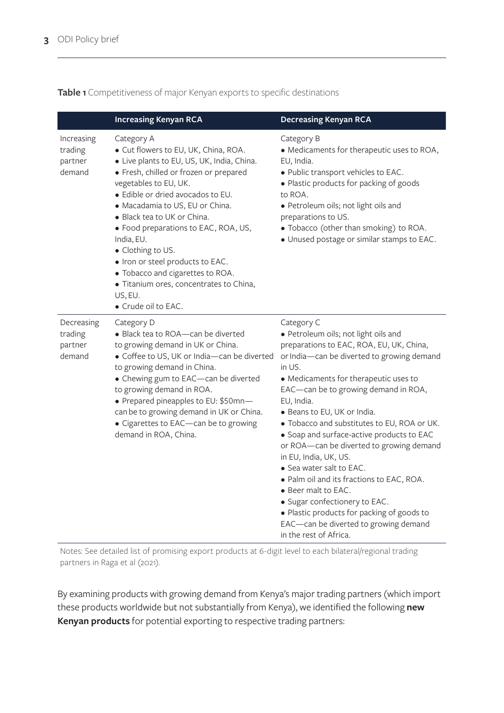**Table 1** Competitiveness of major Kenyan exports to specific destinations

|                                            | <b>Increasing Kenyan RCA</b>                                                                                                                                                                                                                                                                                                                                                                                                                                                                               | <b>Decreasing Kenyan RCA</b>                                                                                                                                                                                                                                                                                                                                                                                                                                                                                                                                                                                                                                                                                    |
|--------------------------------------------|------------------------------------------------------------------------------------------------------------------------------------------------------------------------------------------------------------------------------------------------------------------------------------------------------------------------------------------------------------------------------------------------------------------------------------------------------------------------------------------------------------|-----------------------------------------------------------------------------------------------------------------------------------------------------------------------------------------------------------------------------------------------------------------------------------------------------------------------------------------------------------------------------------------------------------------------------------------------------------------------------------------------------------------------------------------------------------------------------------------------------------------------------------------------------------------------------------------------------------------|
| Increasing<br>trading<br>partner<br>demand | Category A<br>• Cut flowers to EU, UK, China, ROA.<br>• Live plants to EU, US, UK, India, China.<br>· Fresh, chilled or frozen or prepared<br>vegetables to EU, UK.<br>• Edible or dried avocados to EU.<br>• Macadamia to US, EU or China.<br>• Black tea to UK or China.<br>• Food preparations to EAC, ROA, US,<br>India, EU.<br>• Clothing to US.<br>· Iron or steel products to EAC.<br>• Tobacco and cigarettes to ROA.<br>• Titanium ores, concentrates to China,<br>US, EU.<br>• Crude oil to EAC. | Category B<br>• Medicaments for therapeutic uses to ROA,<br>EU, India.<br>· Public transport vehicles to EAC.<br>• Plastic products for packing of goods<br>to ROA.<br>· Petroleum oils; not light oils and<br>preparations to US.<br>• Tobacco (other than smoking) to ROA.<br>· Unused postage or similar stamps to EAC.                                                                                                                                                                                                                                                                                                                                                                                      |
| Decreasing<br>trading<br>partner<br>demand | Category D<br>• Black tea to ROA-can be diverted<br>to growing demand in UK or China.<br>• Coffee to US, UK or India-can be diverted<br>to growing demand in China.<br>• Chewing gum to EAC-can be diverted<br>to growing demand in ROA.<br>• Prepared pineapples to EU: \$50mn-<br>can be to growing demand in UK or China.<br>• Cigarettes to EAC-can be to growing<br>demand in ROA, China.                                                                                                             | Category C<br>· Petroleum oils; not light oils and<br>preparations to EAC, ROA, EU, UK, China,<br>or India-can be diverted to growing demand<br>in US.<br>• Medicaments for therapeutic uses to<br>EAC-can be to growing demand in ROA,<br>EU, India.<br>• Beans to EU, UK or India.<br>• Tobacco and substitutes to EU, ROA or UK.<br>• Soap and surface-active products to EAC<br>or ROA-can be diverted to growing demand<br>in EU, India, UK, US.<br>• Sea water salt to EAC.<br>• Palm oil and its fractions to EAC, ROA.<br>$\bullet$ Beer malt to EAC.<br>• Sugar confectionery to EAC.<br>• Plastic products for packing of goods to<br>EAC-can be diverted to growing demand<br>in the rest of Africa. |

Notes: See detailed list of promising export products at 6-digit level to each bilateral/regional trading partners in Raga et al (2021).

By examining products with growing demand from Kenya's major trading partners (which import these products worldwide but not substantially from Kenya), we identified the following **new Kenyan products** for potential exporting to respective trading partners: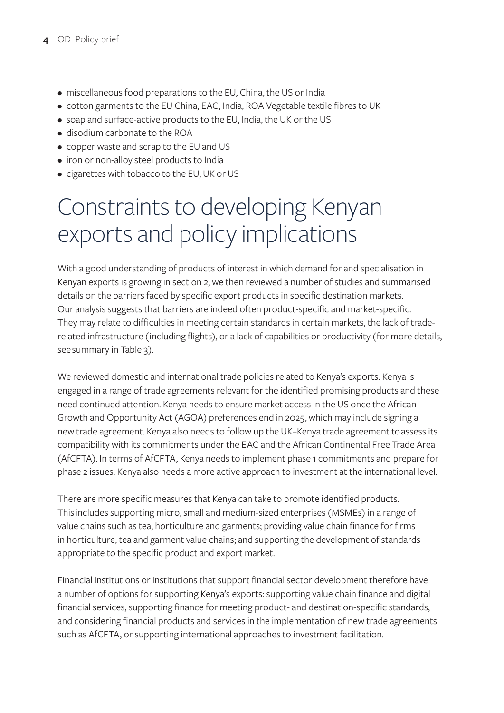- miscellaneous food preparations to the EU, China, the US or India
- cotton garments to the EU China, EAC, India, ROA Vegetable textile fibres to UK
- soap and surface-active products to the EU, India, the UK or the US
- disodium carbonate to the ROA
- copper waste and scrap to the EU and US
- iron or non-alloy steel products to India
- cigarettes with tobacco to the EU, UK or US

### Constraints to developing Kenyan exports and policy implications

With a good understanding of products of interest in which demand for and specialisation in Kenyan exports is growing in section 2, we then reviewed a number of studies and summarised details on the barriers faced by specific export products in specific destination markets. Our analysis suggests that barriers are indeed often product-specific and market-specific. They may relate to difficulties in meeting certain standards in certain markets, the lack of traderelated infrastructure (including flights), or a lack of capabilities or productivity (for more details, see summary in Table 3).

We reviewed domestic and international trade policies related to Kenya's exports. Kenya is engaged in a range of trade agreements relevant for the identified promising products and these need continued attention. Kenya needs to ensure market access in the US once the African Growth and Opportunity Act (AGOA) preferences end in 2025, which may include signing a new trade agreement. Kenya also needs to follow up the UK–Kenya trade agreement to assess its compatibility with its commitments under the EAC and the African Continental Free Trade Area (AfCFTA). In terms of AfCFTA, Kenya needs to implement phase 1 commitments and prepare for phase 2 issues. Kenya also needs a more active approach to investment at the international level.

There are more specific measures that Kenya can take to promote identified products. This includes supporting micro, small and medium-sized enterprises (MSMEs) in a range of value chains such as tea, horticulture and garments; providing value chain finance for firms in horticulture, tea and garment value chains; and supporting the development of standards appropriate to the specific product and export market.

Financial institutions or institutions that support financial sector development therefore have a number of options for supporting Kenya's exports: supporting value chain finance and digital financial services, supporting finance for meeting product- and destination-specific standards, and considering financial products and services in the implementation of new trade agreements such as AfCFTA, or supporting international approaches to investment facilitation.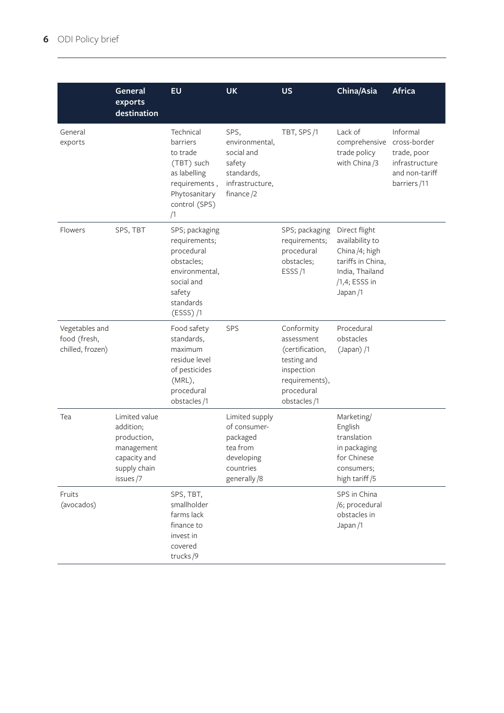|                                                    | General<br>exports<br>destination                                                                    | <b>EU</b>                                                                                                                        | <b>UK</b>                                                                                        | <b>US</b>                                                                                                               | China/Asia                                                                                                             | <b>Africa</b>                                                                              |
|----------------------------------------------------|------------------------------------------------------------------------------------------------------|----------------------------------------------------------------------------------------------------------------------------------|--------------------------------------------------------------------------------------------------|-------------------------------------------------------------------------------------------------------------------------|------------------------------------------------------------------------------------------------------------------------|--------------------------------------------------------------------------------------------|
| General<br>exports                                 |                                                                                                      | Technical<br>barriers<br>to trade<br>(TBT) such<br>as labelling<br>requirements,<br>Phytosanitary<br>control (SPS)<br>/1         | SPS,<br>environmental,<br>social and<br>safety<br>standards,<br>infrastructure,<br>finance/2     | TBT, SPS/1                                                                                                              | Lack of<br>comprehensive<br>trade policy<br>with China/3                                                               | Informal<br>cross-border<br>trade, poor<br>infrastructure<br>and non-tariff<br>barriers/11 |
| Flowers                                            | SPS, TBT                                                                                             | SPS; packaging<br>requirements;<br>procedural<br>obstacles;<br>environmental,<br>social and<br>safety<br>standards<br>$(ESS)$ /1 |                                                                                                  | SPS; packaging<br>requirements;<br>procedural<br>obstacles;<br>ESSS/1                                                   | Direct flight<br>availability to<br>China /4; high<br>tariffs in China,<br>India, Thailand<br>/1,4; ESSS in<br>Japan/1 |                                                                                            |
| Vegetables and<br>food (fresh,<br>chilled, frozen) |                                                                                                      | Food safety<br>standards,<br>maximum<br>residue level<br>of pesticides<br>(MRL),<br>procedural<br>obstacles/1                    | SPS                                                                                              | Conformity<br>assessment<br>(certification,<br>testing and<br>inspection<br>requirements),<br>procedural<br>obstacles/1 | Procedural<br>obstacles<br>$(Japan)$ /1                                                                                |                                                                                            |
| Tea                                                | Limited value<br>addition;<br>production,<br>management<br>capacity and<br>supply chain<br>issues /7 |                                                                                                                                  | Limited supply<br>of consumer-<br>packaged<br>tea from<br>developing<br>countries<br>generally/8 |                                                                                                                         | Marketing/<br>English<br>translation<br>in packaging<br>for Chinese<br>consumers;<br>high tariff/5                     |                                                                                            |
| Fruits<br>(avocados)                               |                                                                                                      | SPS, TBT,<br>smallholder<br>farms lack<br>finance to<br>invest in<br>covered<br>trucks/9                                         |                                                                                                  |                                                                                                                         | SPS in China<br>/6; procedural<br>obstacles in<br>Japan/1                                                              |                                                                                            |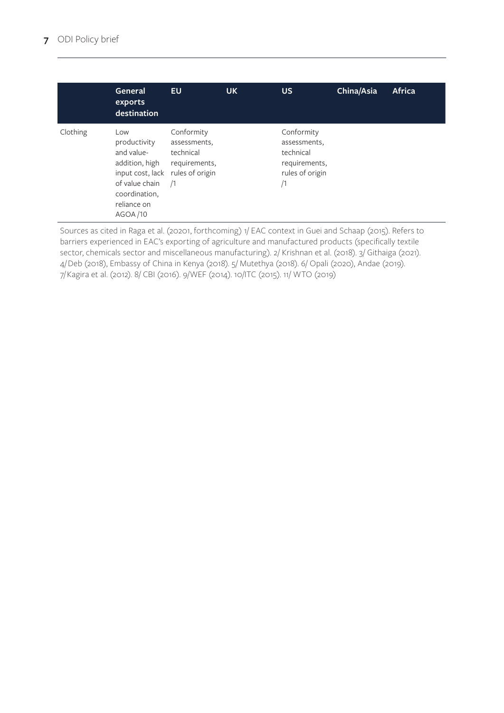|          | General<br>exports<br>destination                                                                                                     | <b>EU</b>                                                                                 | <b>UK</b> | <b>US</b>                                                                         | China/Asia | <b>Africa</b> |
|----------|---------------------------------------------------------------------------------------------------------------------------------------|-------------------------------------------------------------------------------------------|-----------|-----------------------------------------------------------------------------------|------------|---------------|
| Clothing | Low<br>productivity<br>and value-<br>addition, high<br>input cost, lack<br>of value chain<br>coordination,<br>reliance on<br>AGOA /10 | Conformity<br>assessments,<br>technical<br>requirements,<br>rules of origin<br>$\sqrt{1}$ |           | Conformity<br>assessments,<br>technical<br>requirements,<br>rules of origin<br>/1 |            |               |

Sources as cited in Raga et al. (20201, forthcoming) 1/ EAC context in Guei and Schaap (2015). Refers to barriers experienced in EAC's exporting of agriculture and manufactured products (specifically textile sector, chemicals sector and miscellaneous manufacturing). 2/ Krishnan et al. (2018). 3/ Githaiga (2021). 4/ Deb (2018), Embassy of China in Kenya (2018). 5/ Mutethya (2018). 6/ Opali (2020), Andae (2019). 7/ Kagira et al. (2012). 8/ CBI (2016). 9/WEF (2014). 10/ITC (2015). 11/ WTO (2019)